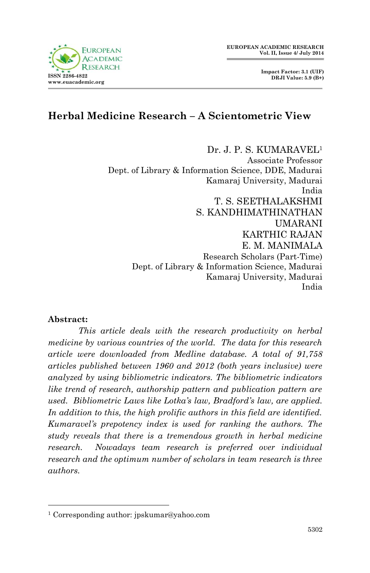# **Herbal Medicine Research – A Scientometric View**

Dr. J. P. S. KUMARAVEL<sup>1</sup> Associate Professor Dept. of Library & Information Science, DDE, Madurai Kamaraj University, Madurai India T. S. SEETHALAKSHMI S. KANDHIMATHINATHAN UMARANI KARTHIC RAJAN E. M. MANIMALA Research Scholars (Part-Time) Dept. of Library & Information Science, Madurai Kamaraj University, Madurai India

### **Abstract:**

1

*This article deals with the research productivity on herbal medicine by various countries of the world. The data for this research article were downloaded from Medline database. A total of 91,758 articles published between 1960 and 2012 (both years inclusive) were analyzed by using bibliometric indicators. The bibliometric indicators like trend of research, authorship pattern and publication pattern are used. Bibliometric Laws like Lotka's law, Bradford's law, are applied. In addition to this, the high prolific authors in this field are identified. Kumaravel's prepotency index is used for ranking the authors. The study reveals that there is a tremendous growth in herbal medicine research. Nowadays team research is preferred over individual research and the optimum number of scholars in team research is three authors.*



<sup>1</sup> Corresponding author: jpskumar@yahoo.com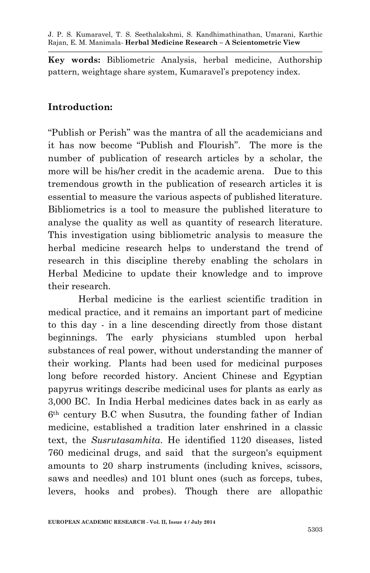**Key words:** Bibliometric Analysis, herbal medicine, Authorship pattern, weightage share system, Kumaravel's prepotency index.

### **Introduction:**

"Publish or Perish" was the mantra of all the academicians and it has now become "Publish and Flourish". The more is the number of publication of research articles by a scholar, the more will be his/her credit in the academic arena. Due to this tremendous growth in the publication of research articles it is essential to measure the various aspects of published literature. Bibliometrics is a tool to measure the published literature to analyse the quality as well as quantity of research literature. This investigation using bibliometric analysis to measure the herbal medicine research helps to understand the trend of research in this discipline thereby enabling the scholars in Herbal Medicine to update their knowledge and to improve their research.

Herbal medicine is the earliest scientific tradition in medical practice, and it remains an important part of medicine to this day - in a line descending directly from those distant beginnings. The early physicians stumbled upon herbal substances of real power, without understanding the manner of their working. Plants had been used for medicinal purposes long before recorded history. Ancient Chinese and Egyptian papyrus writings describe medicinal uses for plants as early as 3,000 BC. In India Herbal medicines dates back in as early as 6th century B.C when Susutra, the founding father of Indian medicine, established a tradition later enshrined in a classic text, the *Susrutasamhita*. He identified 1120 diseases, listed 760 medicinal drugs, and said that the surgeon's equipment amounts to 20 sharp instruments (including knives, scissors, saws and needles) and 101 blunt ones (such as forceps, tubes, levers, hooks and probes). Though there are allopathic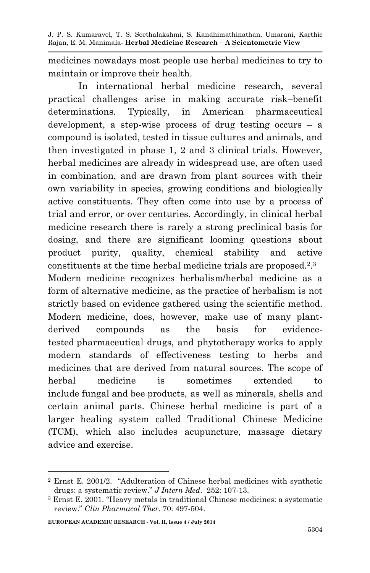medicines nowadays most people use herbal medicines to try to maintain or improve their health.

In international herbal medicine research, several practical challenges arise in making accurate risk–benefit determinations. Typically, in American pharmaceutical development, a step-wise process of drug testing occurs  $-$  a compound is isolated, tested in tissue cultures and animals, and then investigated in phase 1, 2 and 3 clinical trials. However, herbal medicines are already in widespread use, are often used in combination, and are drawn from plant sources with their own variability in species, growing conditions and biologically active constituents. They often come into use by a process of trial and error, or over centuries. Accordingly, in clinical herbal medicine research there is rarely a strong preclinical basis for dosing, and there are significant looming questions about product purity, quality, chemical stability and active constituents at the time herbal medicine trials are proposed.<sup>2</sup> . 3 Modern medicine recognizes herbalism/herbal medicine as a form of alternative medicine, as the practice of herbalism is not strictly based on evidence gathered using the scientific method. Modern medicine, does, however, make use of many plantderived compounds as the basis for evidencetested pharmaceutical drugs, and phytotherapy works to apply modern standards of effectiveness testing to herbs and medicines that are derived from natural sources. The scope of herbal medicine is sometimes extended to include fungal and bee products, as well as minerals, shells and certain animal parts. Chinese herbal medicine is part of a larger healing system called Traditional Chinese Medicine (TCM), which also includes acupuncture, massage dietary advice and exercise.

**.** 

<sup>2</sup> Ernst E. 2001/2. "Adulteration of Chinese herbal medicines with synthetic drugs: a systematic review." *J Intern Med*. 252: 107-13.

<sup>3</sup> Ernst E. 2001. "Heavy metals in traditional Chinese medicines: a systematic review." *Clin Pharmacol Ther.* 70: 497-504.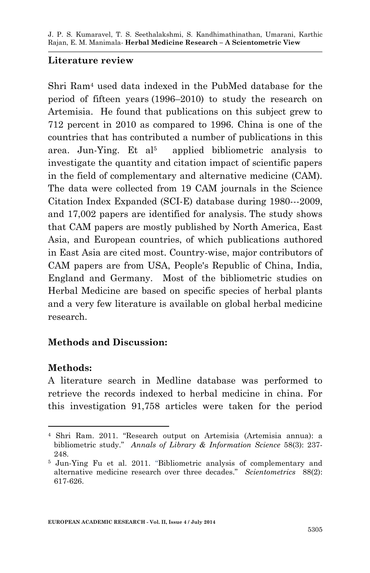### **Literature review**

Shri Ram<sup>4</sup> used data indexed in the PubMed database for the period of fifteen years (1996–2010) to study the research on Artemisia. He found that publications on this subject grew to 712 percent in 2010 as compared to 1996. China is one of the countries that has contributed a number of publications in this area. Jun-Ying. Et al<sup>5</sup> applied bibliometric analysis to investigate the quantity and citation impact of scientific papers in the field of complementary and alternative medicine (CAM). The data were collected from 19 CAM journals in the Science Citation Index Expanded (SCI-E) database during 1980---2009, and 17,002 papers are identified for analysis. The study shows that CAM papers are mostly published by North America, East Asia, and European countries, of which publications authored in East Asia are cited most. Country-wise, major contributors of CAM papers are from USA, People's Republic of China, India, England and Germany. Most of the bibliometric studies on Herbal Medicine are based on specific species of herbal plants and a very few literature is available on global herbal medicine research.

### **Methods and Discussion:**

### **Methods:**

1

A literature search in Medline database was performed to retrieve the records indexed to herbal medicine in china. For this investigation 91,758 articles were taken for the period

<sup>4</sup> Shri Ram. 2011. "Research output on Artemisia (Artemisia annua): a bibliometric study." *Annals of Library & Information Science* 58(3): 237- 248.

<sup>5</sup> Jun-Ying Fu et al. 2011. "Bibliometric analysis of complementary and alternative medicine research over three decades." *Scientometrics* 88(2): 617-626.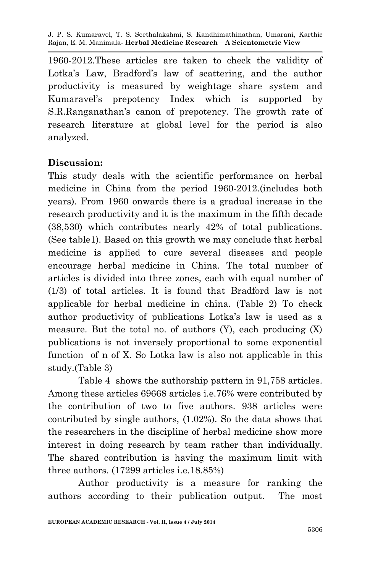1960-2012.These articles are taken to check the validity of Lotka's Law, Bradford's law of scattering, and the author productivity is measured by weightage share system and Kumaravel's prepotency Index which is supported by S.R.Ranganathan's canon of prepotency. The growth rate of research literature at global level for the period is also analyzed.

### **Discussion:**

This study deals with the scientific performance on herbal medicine in China from the period 1960-2012.(includes both years). From 1960 onwards there is a gradual increase in the research productivity and it is the maximum in the fifth decade (38,530) which contributes nearly 42% of total publications. (See table1). Based on this growth we may conclude that herbal medicine is applied to cure several diseases and people encourage herbal medicine in China. The total number of articles is divided into three zones, each with equal number of (1/3) of total articles. It is found that Bradford law is not applicable for herbal medicine in china. (Table 2) To check author productivity of publications Lotka's law is used as a measure. But the total no. of authors (Y), each producing (X) publications is not inversely proportional to some exponential function of n of X. So Lotka law is also not applicable in this study.(Table 3)

Table 4 shows the authorship pattern in 91,758 articles. Among these articles 69668 articles i.e.76% were contributed by the contribution of two to five authors. 938 articles were contributed by single authors, (1.02%). So the data shows that the researchers in the discipline of herbal medicine show more interest in doing research by team rather than individually. The shared contribution is having the maximum limit with three authors. (17299 articles i.e.18.85%)

Author productivity is a measure for ranking the authors according to their publication output. The most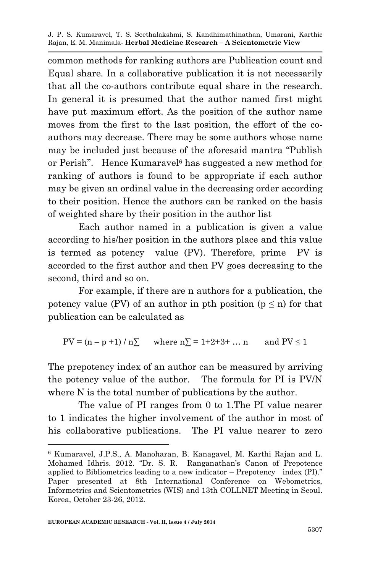common methods for ranking authors are Publication count and Equal share. In a collaborative publication it is not necessarily that all the co-authors contribute equal share in the research. In general it is presumed that the author named first might have put maximum effort. As the position of the author name moves from the first to the last position, the effort of the coauthors may decrease. There may be some authors whose name may be included just because of the aforesaid mantra "Publish or Perish". Hence Kumaravel<sup>6</sup> has suggested a new method for ranking of authors is found to be appropriate if each author may be given an ordinal value in the decreasing order according to their position. Hence the authors can be ranked on the basis of weighted share by their position in the author list

Each author named in a publication is given a value according to his/her position in the authors place and this value is termed as potency value (PV). Therefore, prime PV is accorded to the first author and then PV goes decreasing to the second, third and so on.

For example, if there are n authors for a publication, the potency value (PV) of an author in pth position ( $p \le n$ ) for that publication can be calculated as

 $PV = (n - p + 1) / n \sum$  where  $n \sum = 1 + 2 + 3 + ... n$  and  $PV \le 1$ 

The prepotency index of an author can be measured by arriving the potency value of the author. The formula for PI is PV/N where N is the total number of publications by the author.

The value of PI ranges from 0 to 1.The PI value nearer to 1 indicates the higher involvement of the author in most of his collaborative publications. The PI value nearer to zero

**.** 

<sup>6</sup> Kumaravel, J.P.S., A. Manoharan, B. Kanagavel, M. Karthi Rajan and L. Mohamed Idhris. 2012. "Dr. S. R. Ranganathan's Canon of Prepotence applied to Bibliometrics leading to a new indicator – Prepotency index (PI)." Paper presented at 8th International Conference on Webometrics, Informetrics and Scientometrics (WIS) and 13th COLLNET Meeting in Seoul. Korea, October 23-26, 2012.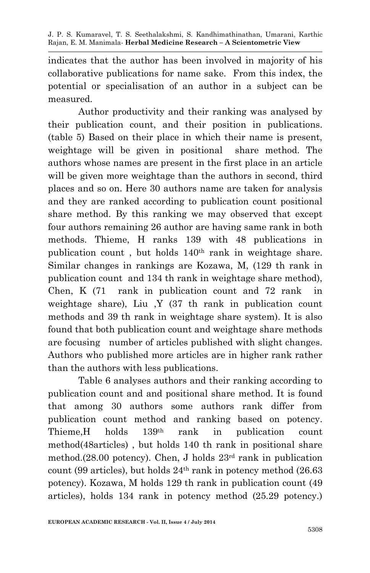indicates that the author has been involved in majority of his collaborative publications for name sake. From this index, the potential or specialisation of an author in a subject can be measured.

Author productivity and their ranking was analysed by their publication count, and their position in publications. (table 5) Based on their place in which their name is present, weightage will be given in positional share method. The authors whose names are present in the first place in an article will be given more weightage than the authors in second, third places and so on. Here 30 authors name are taken for analysis and they are ranked according to publication count positional share method. By this ranking we may observed that except four authors remaining 26 author are having same rank in both methods. Thieme, H ranks 139 with 48 publications in publication count , but holds 140th rank in weightage share. Similar changes in rankings are Kozawa, M, (129 th rank in publication count and 134 th rank in weightage share method), Chen, K (71 rank in publication count and 72 rank in weightage share), Liu ,Y (37 th rank in publication count methods and 39 th rank in weightage share system). It is also found that both publication count and weightage share methods are focusing number of articles published with slight changes. Authors who published more articles are in higher rank rather than the authors with less publications.

Table 6 analyses authors and their ranking according to publication count and and positional share method. It is found that among 30 authors some authors rank differ from publication count method and ranking based on potency. Thieme,H holds 139th rank in publication count method(48articles) , but holds 140 th rank in positional share method.(28.00 potency). Chen, J holds 23rd rank in publication count (99 articles), but holds  $24<sup>th</sup>$  rank in potency method (26.63) potency). Kozawa, M holds 129 th rank in publication count (49 articles), holds 134 rank in potency method (25.29 potency.)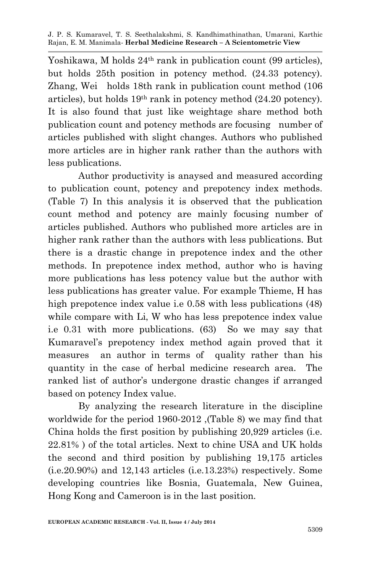Yoshikawa, M holds 24<sup>th</sup> rank in publication count (99 articles), but holds 25th position in potency method. (24.33 potency). Zhang, Wei holds 18th rank in publication count method (106 articles), but holds 19th rank in potency method (24.20 potency). It is also found that just like weightage share method both publication count and potency methods are focusing number of articles published with slight changes. Authors who published more articles are in higher rank rather than the authors with less publications.

Author productivity is anaysed and measured according to publication count, potency and prepotency index methods. (Table 7) In this analysis it is observed that the publication count method and potency are mainly focusing number of articles published. Authors who published more articles are in higher rank rather than the authors with less publications. But there is a drastic change in prepotence index and the other methods. In prepotence index method, author who is having more publications has less potency value but the author with less publications has greater value. For example Thieme, H has high prepotence index value i.e 0.58 with less publications (48) while compare with Li, W who has less prepotence index value i.e 0.31 with more publications. (63) So we may say that Kumaravel's prepotency index method again proved that it measures an author in terms of quality rather than his quantity in the case of herbal medicine research area. The ranked list of author's undergone drastic changes if arranged based on potency Index value.

By analyzing the research literature in the discipline worldwide for the period 1960-2012 ,(Table 8) we may find that China holds the first position by publishing 20,929 articles (i.e. 22.81% ) of the total articles. Next to chine USA and UK holds the second and third position by publishing 19,175 articles (i.e.20.90%) and 12,143 articles (i.e.13.23%) respectively. Some developing countries like Bosnia, Guatemala, New Guinea, Hong Kong and Cameroon is in the last position.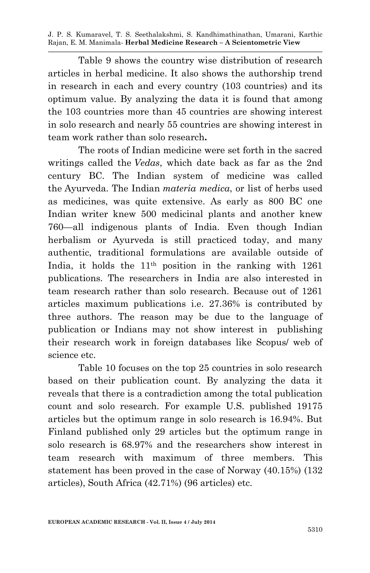Table 9 shows the country wise distribution of research articles in herbal medicine. It also shows the authorship trend in research in each and every country (103 countries) and its optimum value. By analyzing the data it is found that among the 103 countries more than 45 countries are showing interest in solo research and nearly 55 countries are showing interest in team work rather than solo research**.** 

The roots of Indian medicine were set forth in the sacred writings called the *Vedas*, which date back as far as the 2nd century BC. The Indian system of medicine was called the Ayurveda. The Indian *materia medica*, or list of herbs used as medicines, was quite extensive. As early as 800 BC one Indian writer knew 500 medicinal plants and another knew 760—all indigenous plants of India. Even though Indian herbalism or Ayurveda is still practiced today, and many authentic, traditional formulations are available outside of India, it holds the 11th position in the ranking with 1261 publications. The researchers in India are also interested in team research rather than solo research. Because out of 1261 articles maximum publications i.e. 27.36% is contributed by three authors. The reason may be due to the language of publication or Indians may not show interest in publishing their research work in foreign databases like Scopus/ web of science etc.

Table 10 focuses on the top 25 countries in solo research based on their publication count. By analyzing the data it reveals that there is a contradiction among the total publication count and solo research. For example U.S. published 19175 articles but the optimum range in solo research is 16.94%. But Finland published only 29 articles but the optimum range in solo research is 68.97% and the researchers show interest in team research with maximum of three members. This statement has been proved in the case of Norway (40.15%) (132 articles), South Africa (42.71%) (96 articles) etc.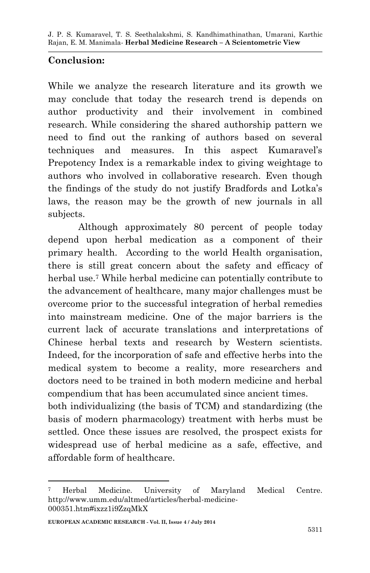## **Conclusion:**

While we analyze the research literature and its growth we may conclude that today the research trend is depends on author productivity and their involvement in combined research. While considering the shared authorship pattern we need to find out the ranking of authors based on several techniques and measures. In this aspect Kumaravel's Prepotency Index is a remarkable index to giving weightage to authors who involved in collaborative research. Even though the findings of the study do not justify Bradfords and Lotka's laws, the reason may be the growth of new journals in all subjects.

Although approximately 80 percent of people today depend upon herbal medication as a component of their primary health. According to the world Health organisation, there is still great concern about the safety and efficacy of herbal use.<sup>7</sup> While herbal medicine can potentially contribute to the advancement of healthcare, many major challenges must be overcome prior to the successful integration of herbal remedies into mainstream medicine. One of the major barriers is the current lack of accurate translations and interpretations of Chinese herbal texts and research by Western scientists. Indeed, for the incorporation of safe and effective herbs into the medical system to become a reality, more researchers and doctors need to be trained in both modern medicine and herbal compendium that has been accumulated since ancient times.

both individualizing (the basis of TCM) and standardizing (the basis of modern pharmacology) treatment with herbs must be settled. Once these issues are resolved, the prospect exists for widespread use of herbal medicine as a safe, effective, and affordable form of healthcare.

<sup>1</sup> <sup>7</sup> Herbal Medicine. University of Maryland Medical Centre. http://www.umm.edu/altmed/articles/herbal-medicine-000351.htm#ixzz1i9ZzqMkX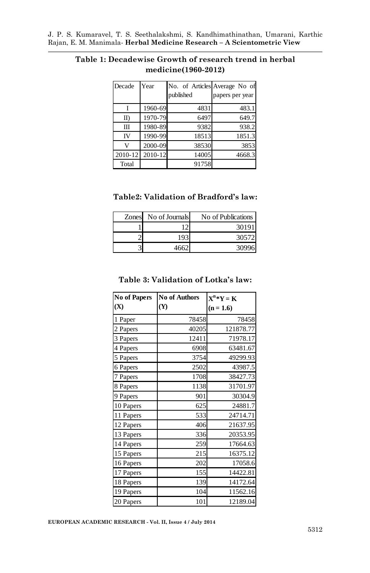| Decade         | Year    | No. of Articles Average No of |                 |
|----------------|---------|-------------------------------|-----------------|
|                |         | published                     | papers per year |
|                | 1960-69 | 4831                          | 483.1           |
| $_{\text{II}}$ | 1970-79 | 6497                          | 649.7           |
| Ш              | 1980-89 | 9382                          | 938.2           |
| IV             | 1990-99 | 18513                         | 1851.3          |
| $\overline{V}$ | 2000-09 | 38530                         | 3853            |
| $2010 - 12$    | 2010-12 | 14005                         | 4668.3          |
| Total          |         | 91758                         |                 |

### **Table 1: Decadewise Growth of research trend in herbal medicine(1960-2012)**

#### **Table2: Validation of Bradford's law:**

| Zones No of Journals | No of Publications |
|----------------------|--------------------|
|                      | 30191              |
| 193                  | 30572              |
|                      | 30996              |

#### **Table 3: Validation of Lotka's law:**

| <b>No of Papers</b> | <b>No of Authors</b> | $X^n*Y = K$ |
|---------------------|----------------------|-------------|
| (X)                 | (Y)                  | $(n = 1.6)$ |
| 1 Paper             | 78458                | 78458       |
| 2 Papers            | 40205                | 121878.77   |
| 3 Papers            | 12411                | 71978.17    |
| 4 Papers            | 6908                 | 63481.67    |
| 5 Papers            | 3754                 | 49299.93    |
| 6 Papers            | 2502                 | 43987.5     |
| 7 Papers            | 1708                 | 38427.73    |
| 8 Papers            | 1138                 | 31701.97    |
| 9 Papers            | 901                  | 30304.9     |
| 10 Papers           | 625                  | 24881.7     |
| 11 Papers           | 533                  | 24714.71    |
| 12 Papers           | 406                  | 21637.95    |
| 13 Papers           | 336                  | 20353.95    |
| 14 Papers           | 259                  | 17664.63    |
| 15 Papers           | 215                  | 16375.12    |
| 16 Papers           | 202                  | 17058.6     |
| 17 Papers           | 155                  | 14422.81    |
| 18 Papers           | 139                  | 14172.64    |
| 19 Papers           | 104                  | 11562.16    |
| 20 Papers           | 101                  | 12189.04    |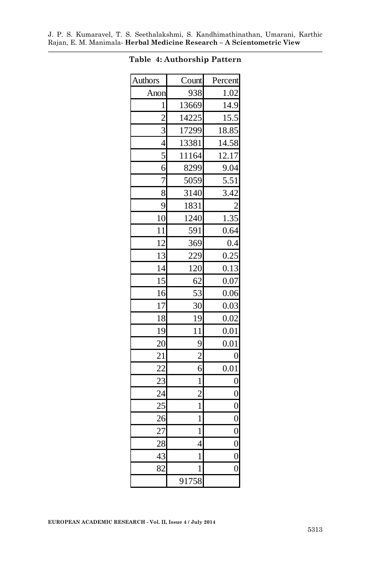| <b>Authors</b>          | Count          | Percent        |  |
|-------------------------|----------------|----------------|--|
| Anon                    | 938            | 1.02           |  |
| $\mathbf 1$             | 13669          | 14.9           |  |
| $\overline{2}$          | 14225          | 15.5           |  |
| $\overline{\mathbf{3}}$ | 17299          | 18.85          |  |
| $\overline{4}$          | 13381          | 14.58          |  |
| $\overline{5}$          | 11164          | 12.17          |  |
| 6                       | 8299           | 9.04           |  |
| 7                       | 5059           | 5.51           |  |
| $\overline{8}$          | 3140           | 3.42           |  |
| 9                       | 1831           |                |  |
| 10                      | 1240           | 1.35           |  |
| $\overline{11}$         | 591            | 0.64           |  |
| $\overline{12}$         | 369            | 0.4            |  |
| 13                      | 229            | 0.25           |  |
| 14                      | 120            | 0.13           |  |
| 15                      | 62             | 0.07           |  |
| 16                      | 53             | 0.06           |  |
| 17                      | 30             | 0.03           |  |
| 18                      | 19             | 0.02           |  |
| 19                      | 11             | 0.01           |  |
| 20                      | 9              | 0.01           |  |
| $\overline{21}$         | $\overline{c}$ | 0              |  |
| 22                      | 6              | 0.01           |  |
| 23                      | $\mathbf{1}$   | $\overline{0}$ |  |
| 24                      | $\overline{c}$ | $\overline{0}$ |  |
| 25                      | $\mathbf{1}$   | $\overline{0}$ |  |
| 26                      | $\mathbf{1}$   | $\overline{0}$ |  |
| 27                      | $\mathbf 1$    | $\overline{0}$ |  |
| 28                      | 4              | $\overline{0}$ |  |
| 43                      | $\mathbf 1$    | $\overline{0}$ |  |
| 82                      | 1              | $\overline{0}$ |  |
|                         | 91758          |                |  |

#### **Table 4: Authorship Pattern**

ä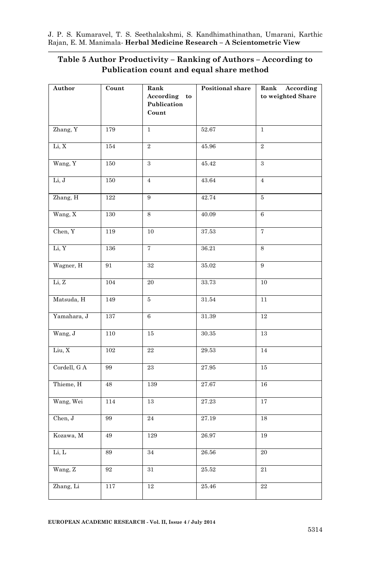#### **Table 5 Author Productivity – Ranking of Authors – According to Publication count and equal share method**

| Author       | Count    | Rank                 | Positional share | Rank According    |
|--------------|----------|----------------------|------------------|-------------------|
|              |          | According to         |                  | to weighted Share |
|              |          | Publication<br>Count |                  |                   |
|              |          |                      |                  |                   |
| Zhang, Y     | 179      | $\mathbf{1}$         | 52.67            | $\mathbf{1}$      |
| Li, X        | 154      | $\overline{2}$       | 45.96            | $\overline{2}$    |
| Wang, Y      | 150      | $\overline{3}$       | 45.42            | $\overline{3}$    |
| Li, J        | 150      | $\overline{4}$       | 43.64            | $\overline{4}$    |
| Zhang, H     | 122      | $\boldsymbol{9}$     | 42.74            | $5\,$             |
| Wang, X      | 130      | 8                    | 40.09            | 6                 |
| Chen, Y      | 119      | 10                   | 37.53            | $\overline{7}$    |
| Li, Y        | 136      | $\overline{7}$       | 36.21            | 8                 |
| Wagner, H    | 91       | $32\,$               | 35.02            | $\overline{9}$    |
| Li, Z        | 104      | $20\,$               | 33.73            | 10                |
| Matsuda, H   | 149      | 5                    | 31.54            | 11                |
| Yamahara, J  | 137      | $6\phantom{.}$       | 31.39            | $12\,$            |
| Wang, J      | 110      | $15\,$               | $30.35\,$        | 13                |
| Liu, X       | 102      | $\bf 22$             | 29.53            | $14\,$            |
| Cordell, G A | 99       | 23                   | 27.95            | 15                |
| Thieme, H    | 48       | 139                  | 27.67            | 16                |
| Wang, Wei    | 114      | $13\,$               | 27.23            | $17\,$            |
| Chen, J      | 99       | $\bf{24}$            | 27.19            | 18                |
| Kozawa, M    | $\rm 49$ | 129                  | 26.97            | 19                |
| Li, L        | 89       | 34                   | 26.56            | $\overline{20}$   |
| Wang, Z      | 92       | 31                   | 25.52            | $\overline{21}$   |
| Zhang, Li    | 117      | 12                   | 25.46            | $\bf{22}$         |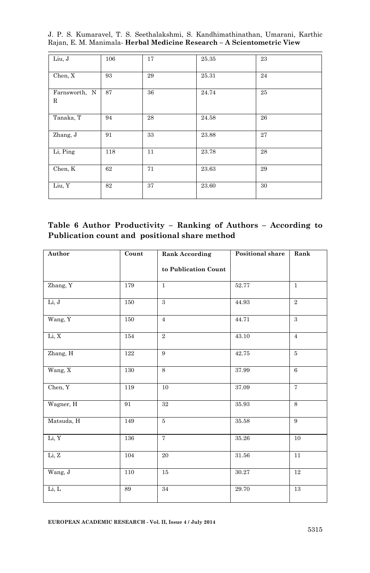|  |  |  |  | J. P. S. Kumaravel, T. S. Seethalakshmi, S. Kandhimathinathan, Umarani, Karthic |  |
|--|--|--|--|---------------------------------------------------------------------------------|--|
|  |  |  |  | Rajan, E. M. Manimala- Herbal Medicine Research - A Scientometric View          |  |

| Liu, J                      | 106 | 17 | $25.35\,$ | 23 |
|-----------------------------|-----|----|-----------|----|
| Chen, X                     | 93  | 29 | 25.31     | 24 |
| Farnsworth, N<br>$_{\rm R}$ | 87  | 36 | 24.74     | 25 |
| Tanaka, T                   | 94  | 28 | 24.58     | 26 |
| Zhang, J                    | 91  | 33 | 23.88     | 27 |
| Li, Ping                    | 118 | 11 | 23.78     | 28 |
| Chen, K                     | 62  | 71 | 23.63     | 29 |
| Liu, Y                      | 82  | 37 | 23.60     | 30 |

| Table 6 Author Productivity – Ranking of Authors – According to |  |  |
|-----------------------------------------------------------------|--|--|
| Publication count and positional share method                   |  |  |

| Author     | Count            | <b>Rank According</b>   | Positional share | Rank           |  |
|------------|------------------|-------------------------|------------------|----------------|--|
|            |                  | to Publication Count    |                  |                |  |
| Zhang, Y   | 179              | $\mathbf{1}$            | 52.77            | $\mathbf{1}$   |  |
| Li, J      | 150              | 3                       | 44.93            | $\overline{2}$ |  |
| Wang, Y    | 150              | 44.71<br>$\overline{4}$ |                  | $\mathbf{a}$   |  |
| Li, X      | 154              | $\overline{2}$          | 43.10            | $\overline{4}$ |  |
| Zhang, H   | 122              | 9                       | 42.75            | $\overline{5}$ |  |
| Wang, X    | 130              | 8                       | 37.99            | 6              |  |
| Chen, Y    | 119              | 10                      | $37.09\,$        | $\overline{7}$ |  |
| Wagner, H  | 91               | $32\,$                  | 35.93            | 8              |  |
| Matsuda, H | 149              | 5                       | $35.58\,$        | 9              |  |
| Li, Y      | 136              | $\overline{7}$          | 35.26            | 10             |  |
| Li, Z      | $\overline{104}$ | 20                      | $31.56\,$        | 11             |  |
| Wang, J    | 110              | 15                      | 30.27            | 12             |  |
| Li, L      | 89               | 34                      | 29.70            | $13\,$         |  |

**EUROPEAN ACADEMIC RESEARCH - Vol. II, Issue 4 / July 2014**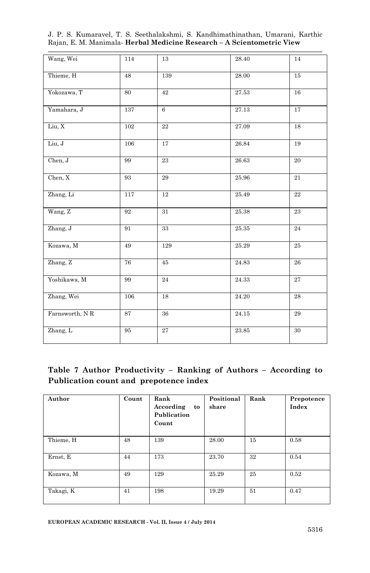| Wang, Wei      | 114       | 13        | 28.40     | 14              |
|----------------|-----------|-----------|-----------|-----------------|
| Thieme, H      | 48        | 139       | 28.00     | 15              |
| Yokozawa, T    | 80        | 42        | 27.53     | 16              |
| Yamahara, J    | 137       | 6         | 27.13     | 17              |
| Liu, X         | 102       | $\bf{22}$ | 27.09     | 18              |
| Liu, J         | 106       | 17        | 26.84     | 19              |
| Chen, J        | 99        | 23        | 26.63     | $20\,$          |
| Chen, X        | 93        | 29        | 25.96     | 21              |
| Zhang, Li      | 117       | 12        | 25.49     | 22              |
| Wang, Z        | 92        | 31        | 25.38     | $\bf 23$        |
| Zhang, J       | 91        | 33        | $25.35\,$ | $\bf{24}$       |
| Kozawa, M      | 49        | 129       | 25.29     | $\bf 25$        |
| Zhang, Z       | 76        | 45        | 24.83     | 26              |
| Yoshikawa, M   | 99        | 24        | 24.33     | 27              |
| Zhang, Wei     | 106<br>18 |           | 24.20     | $\overline{28}$ |
| Farnsworth, NR | 87        | 36        | 24.15     | $\bf 29$        |
| Zhang, L       | 95        | 27        | 23.85     | 30              |

J. P. S. Kumaravel, T. S. Seethalakshmi, S. Kandhimathinathan, Umarani, Karthic Rajan, E. M. Manimala*-* **Herbal Medicine Research – A Scientometric View**

### **Table 7 Author Productivity – Ranking of Authors – According to Publication count and prepotence index**

| Author    | Count | Rank<br>According<br>to<br>Publication<br>Count | Positional<br>share | Rank | Prepotence<br>Index |
|-----------|-------|-------------------------------------------------|---------------------|------|---------------------|
| Thieme, H | 48    | 139                                             | 28.00               | 15   | 0.58                |
| Ernst, E  | 44    | 173                                             | 23.70               | 32   | 0.54                |
| Kozawa, M | 49    | 129                                             | 25.29               | 25   | 0.52                |
| Takagi, K | 41    | 198                                             | 19.29               | 51   | 0.47                |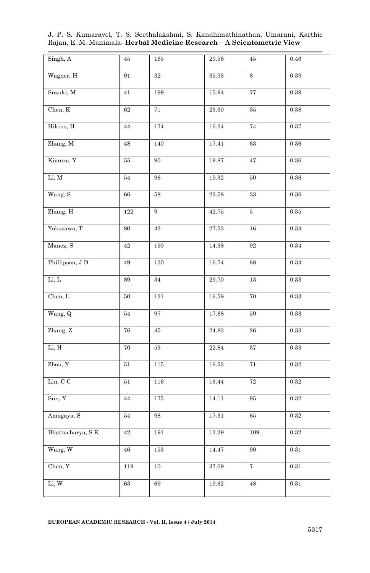| Singh, A         | 45      | 165     | 20.56                | 45          | 0.46       |
|------------------|---------|---------|----------------------|-------------|------------|
| Wagner, H        | 91      | $32\,$  | 35.93                | 8           | 0.39       |
| Suzuki, M        | 41      | 199     | 15.94                | 77          | 0.39       |
| Chen, K          | $62\,$  | 71      | $23.30\,$            | $35\,$      | 0.38       |
| Hikino, H        | 44      | $174\,$ | 16.24                | 74          | 0.37       |
| Zhang, M         | 48      | 140     | 17.41                | 63          | $0.36\,$   |
| Kimura, Y        | $55\,$  | 90      | 19.87                | 47          | 0.36       |
| Li, M            | 54      | 96      | $19.32\,$            | $50\,$      | $0.36\,$   |
| Wang, S          | 66      | 58      | $\bf 23.58$          | $33\,$      | 0.36       |
| Zhang, H         | $122\,$ | 9       | 42.75                | 5           | $\rm 0.35$ |
| Yokozawa, T      | 80      | $42\,$  | $27.53\,$            | $16\,$      | 0.34       |
| Manez, S         | $42\,$  | 190     | $14.38\,$            | 92          | $\rm 0.34$ |
| Phillipson, J D  | 49      | 130     | 16.74                | 68          | 0.34       |
| Li, L            | 89      | 34      | 29.70                | $13\,$      | 0.33       |
| Chen, L          | 50      | 121     | 16.58                | $70\,$      | 0.33       |
| Wang, Q          | $54\,$  | 97      | $17.68\,$            | $59\,$      | $\rm 0.33$ |
| Zhang, Z         | 76      | 45      | $\boldsymbol{24.83}$ | ${\bf 26}$  | 0.33       |
| Li, H            | 70      | 53      | 22.84                | 37          | 0.33       |
| Zhou, Y          | 51      | 115     | 16.53                | 71          | 0.32       |
| Lin, C C         | 51      | 116     | 16.44                | $\sqrt{72}$ | 0.32       |
| Sun, Y           | 44      | 175     | 14.11                | 95          | 0.32       |
| Amagaya, S       | 54      | 98      | $17.31\,$            | 65          | 0.32       |
| Bhattacharya, SK | 42      | 191     | 13.29                | 109         | 0.32       |
| Wang, W          | 46      | 153     | 14.47                | 90          | 0.31       |
| Chen, Y          | 119     | $10\,$  | 37.09                | 7           | $\rm 0.31$ |
| Li, W            | $63\,$  | $69\,$  | 19.62                | 48          | 0.31       |

J. P. S. Kumaravel, T. S. Seethalakshmi, S. Kandhimathinathan, Umarani, Karthic Rajan, E. M. Manimala*-* **Herbal Medicine Research – A Scientometric View**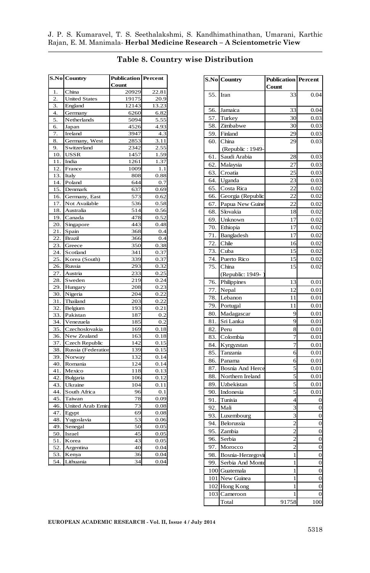|                | <b>S.No Country</b>            | <b>Publication Percent</b><br>Count |          |  |
|----------------|--------------------------------|-------------------------------------|----------|--|
| 1.             | China                          | 20929                               | 22.81    |  |
| $\overline{2}$ | <b>United States</b>           | 19175                               | 20.9     |  |
| 3.             | England                        | 12143                               | 13.23    |  |
| 4.             | Germany                        | 6260                                | 6.82     |  |
| 5.             | Netherlands                    | 5094                                | 5.55     |  |
| б.             | Japan                          | 4526                                | 4.93     |  |
| 7.             | Ireland                        | 3947                                | 4.3      |  |
| 8.             | Germany, West                  | 2853                                | 3.11     |  |
| 9.             | Switzerland                    | 2342                                | 2.55     |  |
| 10.            | <b>USSR</b>                    | 1457                                | 1.59     |  |
| 11.            | India                          | 1261                                | 1.37     |  |
| 12.            | France                         | 1009                                | 1.1      |  |
| 13.            | Italy                          | 808                                 | 0.88     |  |
| 14.            | Poland                         | 644                                 | 0.7      |  |
| 15.            | Denmark                        | 637                                 | 0.69     |  |
| 16.            |                                | 573                                 | 0.62     |  |
| 17.            | Germany, East<br>Not Available | 536                                 | 0.58     |  |
|                |                                |                                     |          |  |
| 18.            | Australia                      | 514                                 | 0.56     |  |
| 19.            | Canada                         | 478                                 | 0.52     |  |
| 20.            | Singapore                      | 443                                 | 0.48     |  |
| 21.            | Spain                          | 368                                 | 0.4      |  |
| 22             | <b>Brazil</b>                  | 366                                 | 0.4      |  |
| 23.            | Greece                         | 350                                 | 0.38     |  |
| 24.            | Scotland                       | 341                                 | 0.37     |  |
| 25.            | Korea (South)                  | 339                                 | 0.37     |  |
| 26.            | Russia                         | 293                                 | 0.32     |  |
| 27.            | Austria                        | 233                                 | 0.25     |  |
| 28.            | Sweden                         | 219                                 | 0.24     |  |
| 29.            | Hungary                        | 208                                 | 0.23     |  |
| 30.            | Nigeria                        | 204                                 | 0.22     |  |
| 31.            | Thailand                       | 203                                 | 0.22     |  |
| 32.            | Belgium                        | 193                                 | 0.21     |  |
| 33.            | Pakistan                       | 187                                 | $_{0.2}$ |  |
| 34.            | Venezuela                      | 185                                 | 0.2      |  |
| 35.            | Czechoslovakia                 | 169                                 | 0.18     |  |
| 36.            | New Zealand                    | 163                                 | 0.18     |  |
| 37.            | Czech Republic                 | 142                                 | 0.15     |  |
| 38             | Russia (Federation             | 139                                 | 0.15     |  |
| 39.            | Norway                         | 132                                 | 0.14     |  |
| 40.            | Romania                        | 124                                 | 0.14     |  |
| 41             | Mexico                         | 118                                 | 0.13     |  |
| 42.            | Bulgaria                       | 106                                 | 0.12     |  |
| 43.            | Ukraine                        | 104                                 | 0.11     |  |
| 44.            | South Africa                   | 96                                  | 0.1      |  |
| 45.            | Taiwan                         | 78                                  | 0.09     |  |
| 46.            | United Arab Emira              | 73                                  | 0.08     |  |
| 47.            | Egypt                          | 69                                  | 0.08     |  |
| 48.            | Yugoslavia                     | 53                                  | 0.06     |  |
| 49.            | Senegal                        | 50                                  | 0.05     |  |
| 50.            | Israel                         | 45                                  | 0.05     |  |
| 51.            | Korea                          | 43                                  | 0.05     |  |
| 52.            | Argentina                      | 40                                  | 0.04     |  |
| 53.            | Kenya                          | 36                                  | 0.04     |  |
| 54.            | Lithuania                      | 34                                  | 0.04     |  |

j.

#### **Table 8. Country wise Distribution**

|     | <b>S.No Country</b> | <b>Publication Percent</b> |                |
|-----|---------------------|----------------------------|----------------|
|     |                     | Count                      |                |
| 55. | Iran                | 33                         | 0.04           |
|     |                     |                            |                |
| 56. | Jamaica             | 33                         | 0.04           |
| 57. | Turkey              | 30                         | 0.03           |
| 58. | Zimbabwe            | 30                         | 0.03           |
| 59. | Finland             | 29                         | 0.03           |
| 60. | China               | 29                         | 0.03           |
|     | (Republic: 1949-    |                            |                |
| 61. | Saudi Arabia        | 28                         | 0.03           |
| 62. | Malaysia            | 27                         | 0.03           |
| 63. | Croatia             | 25                         | 0.03           |
| 64. | Uganda              | 23                         | 0.03           |
| 65. | Costa Rica          | 22                         | 0.02           |
| 66. | Georgia (Republic   | 22                         | 0.02           |
| 67. | Papua New Guine     | 22                         | 0.02           |
| 68. | Slovakia            | 18                         | 0.02           |
| 69. | Unknown             | 17                         | 0.02           |
| 70. | Ethiopia            | 17                         | 0.02           |
| 71. | Bangladesh          | 17                         | 0.02           |
| 72. | Chile               | 16                         | 0.02           |
| 73. | Cuba                | 15                         | 0.02           |
| 74. | Puerto Rico         | 15                         | 0.02           |
| 75. | China               | 15                         | 0.02           |
|     |                     |                            |                |
| 76. | (Republic: 1949-    | 13                         | 0.01           |
| 77. | Philippines         | 12                         |                |
|     | Nepal               |                            | 0.01           |
| 78. | Lebanon             | 11                         | 0.01           |
| 79. | Portugal            | 11                         | 0.01           |
| 80. | Madagascar          | 9<br>9                     | 0.01           |
| 81. | Sri Lanka           |                            | 0.01           |
| 82. | Peru                | 8                          | 0.01           |
| 83. | Colombia            | 7                          | 0.01           |
| 84. | Kyrgyzstan          | 7                          | 0.01           |
| 85. | Tanzania            | 6                          | 0.01           |
| 86. | Panama              | 6                          | 0.01           |
| 87. | Bosnia And Herce    | 5                          | 0.01           |
| 88. | Northern Ireland    | 5                          | 0.01           |
| 89. | Uzbekistan          | 5                          | 0.01           |
| 90. | Indonesia           | 5                          | $_{0.01}$      |
| 91. | Tunisia             | 4                          | $\overline{0}$ |
| 92  | Mali                | 3                          | $\overline{0}$ |
| 93. | Luxembourg          | 3                          | $\overline{0}$ |
| 94. | Belorussia          | $\overline{c}$             | $\overline{0}$ |
| 95. | Zambia              | $\overline{2}$             | $\overline{0}$ |
| 96. | Serbia              | $\overline{c}$             | $\overline{0}$ |
| 97. | Morocco             | $\overline{c}$             | $\overline{0}$ |
| 98. | Bosnia-Herzegovi    | 1                          | $\mathbf 0$    |
| 99. | Serbia And Monte    | $\mathbf{1}$               | $\overline{0}$ |
|     | 100 Guatemala       | 1                          | $\overline{0}$ |
|     | 101 New Guinea      | 1                          | $\overline{0}$ |
|     | 102 Hong Kong       | 1                          | $\overline{0}$ |
|     | 103 Cameroon        | 1                          | $\overline{0}$ |
|     | Total               | 91758                      | 100            |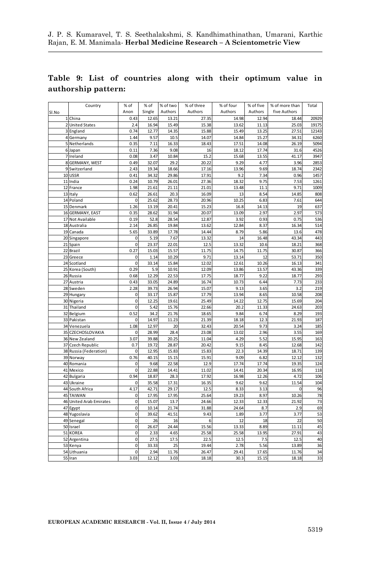#### **Table 9: List of countries along with their optimum value in authorship pattern:**

|       | Country                 | % of           | % of   | % of two | % of three | % of four | % of five | % of more than | Total           |
|-------|-------------------------|----------------|--------|----------|------------|-----------|-----------|----------------|-----------------|
| SI.No |                         | Anon           | Single | Authors  | Authors    | Authors   | Authors   | five Authors   |                 |
|       | 1 China                 | 0.43           | 12.65  | 13.21    | 27.35      | 14.98     | 12.94     | 18.44          | 20929           |
|       | 2 United States         | 2.4            | 16.94  | 15.49    | 15.38      | 13.62     | 11.13     | 25.03          | 19175           |
|       | 3 England               | 0.74           | 12.77  | 14.35    | 15.88      | 15.49     | 13.25     | 27.51          | 12143           |
|       | 4 Germany               | 1.44           | 9.57   | 10.5     | 14.07      | 14.84     | 15.27     | 34.31          | 6260            |
|       | 5 Netherlands           | 0.35           | 7.11   | 16.33    | 18.43      | 17.51     | 14.08     | 26.19          | 5094            |
|       | 6 Japan                 | 0.11           | 7.36   | 9.08     | 16         | 18.12     | 17.74     | 31.6           | 4526            |
|       | 7 Ireland               | 0.08           | 3.47   | 10.84    | 15.2       | 15.68     | 13.55     | 41.17          | 3947            |
|       | 8 GERMANY, WEST         | 0.49           | 32.07  | 29.2     | 20.22      | 9.29      | 4.77      | 3.96           | 2853            |
| 9     | Switzerland             | 2.43           | 19.34  | 18.66    | 17.16      | 13.96     | 9.69      | 18.74          | 2342            |
|       | 10 USSR                 | 0.41           | 34.32  | 29.86    | 17.91      | 9.2       | 7.34      | 0.96           | 1457            |
|       | 11 India                | 0.24           | 10.79  | 26.01    | 27.36      | 18.32     | 9.75      | 7.53           | 1261            |
| 12    | France                  | 1.98           | 21.61  | 21.11    | 21.01      | 13.48     | 11.1      | 9.71           | 1009            |
| 13    | Italy                   | 0.62           | 26.61  | 20.3     | 16.09      | 13        | 8.54      | 14.85          | 808             |
|       | 14 Poland               | $\mathbf 0$    | 25.62  | 28.73    | 20.96      | 10.25     | 6.83      | 7.61           | 644             |
| 15    | Denmark                 | 1.26           | 13.19  | 20.41    | 15.23      | 16.8      | 14.13     | 19             | 637             |
|       | 16 GERMANY, EAST        | 0.35           | 28.62  | 31.94    | 20.07      | 13.09     | 2.97      | 2.97           | 573             |
| 17    | Not Available           | 0.19           | 52.8   | 28.54    | 12.87      | 3.92      | 0.93      | 0.75           | 536             |
|       | 18 Australia            | 2.14           | 26.85  | 19.84    | 13.62      | 12.84     | 8.37      | 16.34          | 514             |
| 19    | Canada                  | 5.65           | 33.89  | 17.78    | 14.44      | 8.79      | 5.86      | 13.6           | 478             |
|       | 20 Singapore            | 0              | 5.19   | 7.67     | 13.32      | 14        | 16.48     | 43.34          | 443             |
| 21    | Spain                   | $\mathbf 0$    | 23.37  | 22.01    | 12.5       | 13.32     | 10.6      | 18.21          | 368             |
| 22    | Brazil                  | 0.27           | 15.03  | 15.57    | 11.75      | 14.75     | 11.75     | 30.87          | 366             |
| 23    | Greece                  | 0              | 1.14   | 10.29    | 9.71       | 13.14     | 12        | 53.71          | 350             |
| 24    | Scotland                | $\mathbf 0$    | 33.14  | 15.84    | 12.02      | 12.61     | 10.26     | 16.13          | 341             |
| 25    | Korea (South)           | 0.29           | 5.9    | 10.91    | 12.09      | 13.86     | 13.57     | 43.36          | 339             |
|       | 26 Russia               | 0.68           | 12.29  | 22.53    | 17.75      | 18.77     | 9.22      | 18.77          | 293             |
| 27    | Austria                 | 0.43           | 33.05  | 24.89    | 16.74      | 10.73     | 6.44      | 7.73           | 233             |
| 28    | Sweden                  | 2.28           | 39.73  | 26.94    | 15.07      | 9.13      | 3.65      | 3.2            | 219             |
|       | 29 Hungary              | $\mathbf 0$    | 33.17  | 15.87    | 17.79      | 13.94     | 8.65      | 10.58          | 208             |
|       | 30 Nigeria              | $\overline{0}$ | 12.25  | 19.61    | 25.49      | 14.22     | 12.75     | 15.69          | 204             |
| 31    | Thailand                | $\mathbf 0$    | 5.42   | 15.76    | 22.66      | 20.2      | 11.33     | 24.63          | 203             |
| 32    | Belgium                 | 0.52           | 34.2   | 21.76    | 18.65      | 9.84      | 6.74      | 8.29           | 193             |
|       | 33 Pakistan             | $\mathbf 0$    | 14.97  | 11.23    | 21.39      | 18.18     | 12.3      | 21.93          | 187             |
|       | 34 Venezuela            | 1.08           | 12.97  | 20       | 32.43      | 20.54     | 9.73      | 3.24           | 185             |
| 35    | CZECHOSLOVAKIA          | 0              | 28.99  | 28.4     | 23.08      | 13.02     | 2.96      | 3.55           | 169             |
|       | 36 New Zealand          | 3.07           | 39.88  | 20.25    | 11.04      | 4.29      | 5.52      | 15.95          | 163             |
| 37    | Czech Republic          | 0.7            | 19.72  | 28.87    | 20.42      | 9.15      | 8.45      | 12.68          | 142             |
| 38    | Russia (Federation)     | $\mathbf 0$    | 12.95  | 15.83    | 15.83      | 22.3      | 14.39     | 18.71          | 139             |
|       | 39 Norway               | 0.76           | 40.15  | 15.15    | 15.91      | 9.09      | 6.82      | 12.12          | 132             |
|       | 40 Romania              | 0              | 9.68   | 22.58    | 12.9       | 17.74     | 17.74     | 19.35          | 124             |
| 41    | Mexico                  | $\mathbf 0$    | 22.88  | 14.41    | 11.02      | 14.41     | 20.34     | 16.95          | 118             |
|       | 42 Bulgaria             | 0.94           | 18.87  | 28.3     | 17.92      | 16.98     | 12.26     | 4.72           | 106             |
| 43    | Ukraine                 | 0              | 35.58  | 17.31    | 16.35      | 9.62      | 9.62      | 11.54          | 104             |
| 44    | South Africa            | 4.17           | 42.71  | 29.17    | 12.5       | 8.33      | 3.13      | $\overline{0}$ | 96              |
|       | 45 TAIWAN               | $\mathbf 0$    | 17.95  | 17.95    | 25.64      | 19.23     | 8.97      | 10.26          | 78              |
|       | 46 United Arab Emirates | $\overline{0}$ | 15.07  | 13.7     | 24.66      | 12.33     | 12.33     | 21.92          | $\overline{73}$ |
| 47    | Egypt                   | $\mathbf 0$    | 10.14  | 21.74    | 31.88      | 24.64     | 8.7       | 2.9            | 69              |
| 48    | Yugoslavia              | 0              | 39.62  | 41.51    | 9.43       | 1.89      | 3.77      | 3.77           | 53              |
|       | 49 Senegal              | $\mathbf 0$    | 26     | 16       | 6          | 12        | 18        | 22             | 50              |
|       | 50 Israel               | $\mathbf 0$    | 26.67  | 24.44    | 15.56      | 13.33     | 8.89      | 11.11          | 45              |
| 51    | <b>KOREA</b>            | $\mathbf 0$    | 2.33   | 4.65     | 25.58      | 25.58     | 13.95     | 27.91          | 43              |
| 52    | Argentina               | 0              | 27.5   | 17.5     | 22.5       | 12.5      | 7.5       | 12.5           | 40              |
| 53    | Kenya                   | 0              | 33.33  | 25       | 19.44      | 2.78      | 5.56      | 13.89          | 36              |
| 54    | Lithuania               | $\mathbf 0$    | 2.94   | 11.76    | 26.47      | 29.41     | 17.65     | 11.76          | 34              |
|       | 55 Iran                 | 3.03           | 12.12  | 3.03     | 18.18      | 30.3      | 15.15     | 18.18          | 33              |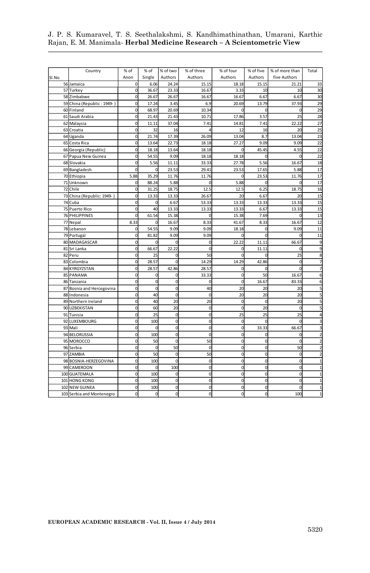į

|       | Country                    | % of           | % of        | % of two    | % of three   | % of four      | % of five      | % of more than | Total |
|-------|----------------------------|----------------|-------------|-------------|--------------|----------------|----------------|----------------|-------|
| SI.No |                            | Anon           | Single      | Authors     | Authors      | Authors        | Authors        | five Authors   |       |
|       | 56 Jamaica                 | 0              | 6.06        | 24.24       | 15.15        | 18.18          | 15.15          | 21.21          | 33    |
|       | 57 Turkey                  | 0              | 36.67       | 23.33       | 16.67        | 3.33           | 10             | 10             | 30    |
|       | 58 Zimbabwe                | 0              | 26.67       | 26.67       | 16.67        | 16.67          | 6.67           | 6.67           | 30    |
| 59    | China (Republic: 1949-     | $\Omega$       | 17.24       | 3.45        | 6.9          | 20.69          | 13.79          | 37.93          | 29    |
|       | 60 Finland                 | $\Omega$       | 68.97       | 20.69       | 10.34        |                | ſ              |                | 29    |
|       | 61 Saudi Arabia            | $\Omega$       | 21.43       | 21.43       | 10.71        | 17.86          | 3.57           | 25             | 28    |
|       | 62 Malaysia                | $\Omega$       | 11.11       | 37.04       | 7.41         | 14.81          | 7.41           | 22.22          | 27    |
|       | 63 Croatia                 | 0              | 32          | 16          |              | 12             | 16             | 20             | 25    |
|       | 64 Uganda                  | 0              | 21.74       | 17.39       | 26.09        | 13.04          | 8.7            | 13.04          | 23    |
|       | 65 Costa Rica              | $\mathbf 0$    | 13.64       | 22.73       | 18.18        | 27.27          | 9.09           | 9.09           | 22    |
|       | 66 Georgia (Republic)      | $\mathbf 0$    | 18.18       | 13.64       | 18.18        | $\mathbf 0$    | 45.45          | 4.55           | 22    |
|       | 67 Papua New Guinea        | 0              | 54.55       | 9.09        | 18.18        | 18.18          | 0              |                | 22    |
|       | 68 Slovakia                | 0              | 5.56        | 11.11       | 33.33        | 27.78          | 5.56           | 16.67          | 18    |
|       | 69 Bangladesh              | $\mathbf 0$    | 0           | 23.53       | 29.41        | 23.53          | 17.65          | 5.88           | 17    |
|       | 70 Ethiopia                | 5.88           | 35.29       | 11.76       | 11.76        | O              | 23.53          | 11.76          | 17    |
|       | 71 Unknown                 | $\Omega$       | 88.24       | 5.88        | 0            | 5.88           | 0              |                | 17    |
|       | 72 Chile                   | 0              | 31.25       | 18.75       | 12.5         | 12.5           | 6.25           | 18.75          | 16    |
|       | 73 China (Republic: 1949-) | 0              | 13.33       | 13.33       | 26.67        | 20             | 6.67           | 20             | 15    |
|       | 74 Cuba                    | 0              | 0           | 6.67        | 53.33        | 13.33          | 13.33          | 13.33          | 15    |
|       | 75 Puerto Rico             | 0              | 40          | 13.33       | 13.33        | 13.33          | 6.67           | 13.33          | 15    |
|       | 76 PHILIPPINES             | $\Omega$       | 61.54       | 15.38       | $\Omega$     | 15.38          | 7.69           |                | 13    |
|       | 77 Nepal                   | 8.33           | $\Omega$    | 16.67       | 8.33         | 41.67          | 8.33           | 16.67          | 12    |
|       | 78 Lebanon                 | $\mathbf 0$    | 54.55       | 9.09        | 9.09         | 18.18          | 0              | 9.09           | 11    |
|       | 79 Portugal                | $\Omega$       | 81.82       | 9.09        | 9.09         | $\Omega$       | $\mathbf 0$    |                | 11    |
|       | 80 MADAGASCAR              | $\Omega$       | $\Omega$    | $\Omega$    | $\mathbf 0$  | 22.22          | 11.11          | 66.67          | 9     |
|       | 81 Sri Lanka               | $\Omega$       | 66.67       | 22.22       | $\Omega$     | 0              | 11.11          |                |       |
| 82    | Peru                       | 0              | 25          | 0           | 50           | $\mathbf 0$    | $\mathcal{C}$  | 25             |       |
|       | 83 Colombia                | 0              | 28.57       |             | 14.29        | 14.29          | 42.86          | 0              |       |
|       | 84 KYRGYZSTAN              | $\mathbf 0$    | 28.57       | 42.86       | 28.57        | $\mathbf 0$    | $\mathbf 0$    |                |       |
|       | 85 PANAMA                  | $\mathbf 0$    | $\mathbf 0$ | 0           | 33.33        | $\mathbf 0$    | 50             | 16.67          |       |
|       | 86 Tanzania                | $\mathbf 0$    | $\mathbf 0$ | $\mathbf 0$ | $\mathbf 0$  | $\mathbf 0$    | 16.67          | 83.33          |       |
|       | 87 Bosnia and Hercegovina  | 0              | $\mathbf 0$ | $\mathbf 0$ | 40           | 20             | 2C             | 20             |       |
|       | 88 Indonesia               | $\mathbf 0$    | 40          | $\mathbf 0$ | $\mathbf 0$  | 20             | 20             | 20             |       |
|       | 89 Northern Ireland        | 0              | 40          | 20          | 20           | $\mathbf 0$    | $\mathbf 0$    | 20             |       |
|       | 90 UZBEKISTAN              | 0              | 60          | 20          | $\mathbf 0$  | $\overline{0}$ | 20             | $\mathbf 0$    |       |
|       | 91 Tunisia                 | 0              | 25          | $\mathbf 0$ | $\mathbf 0$  | 25             | 25             | 25             |       |
|       | 92 LUXEMBOURG              | 0              | 100         | $\mathbf 0$ | $\mathbf 0$  | $\mathbf 0$    | 0              | $\Omega$       |       |
|       | 93 Mali                    | 0              | $\mathbf 0$ | $\mathbf 0$ | 0            | $\mathbf 0$    | 33.33          | 66.67          |       |
|       | 94 BELORUSSIA              | $\overline{0}$ | 100         | $\mathbf 0$ | $\mathbf 0$  | $\mathbf 0$    | 0              | 0              |       |
|       | 95 MOROCCO                 | $\overline{0}$ | 50          | $\Omega$    | 50           | $\mathbf 0$    | 0              |                |       |
|       | 96 Serbia                  | 0              | $\mathbf 0$ | 50          | $\mathbf 0$  | $\mathbf 0$    | $\overline{0}$ | 50             |       |
|       | 97 ZAMBIA                  | 0              | 50          | $\Omega$    | 50           | $\mathbf 0$    | 0              | 0              |       |
|       | 98 BOSNIA-HERZEGOVINA      | 0              | 100         | C           | 0            | $\mathbf 0$    | $\overline{0}$ | 0              |       |
| 99    | <b>CAMEROON</b>            | $\Omega$       | $\Omega$    | 100         | $\Omega$     | $\mathbf 0$    | $\overline{0}$ | $\Omega$       |       |
|       | 100 GUATEMALA              | $\Omega$       | 100         | $\Omega$    | $\mathbf 0$  | $\Omega$       | $\overline{0}$ | 0              |       |
|       | 101 HONG KONG              |                | 100         | C           | $\mathbf 0$  | $\mathbf 0$    | $\overline{0}$ |                |       |
| 102   | <b>NEW GUINEA</b>          | 0              | 100         | C           | $\mathbf 0$  | $\overline{0}$ | $\overline{0}$ |                |       |
|       | 103 Serbia and Montenegro  |                | $\mathbf 0$ | $\Omega$    | $\mathbf{0}$ | $\overline{0}$ | $\overline{0}$ | 100            |       |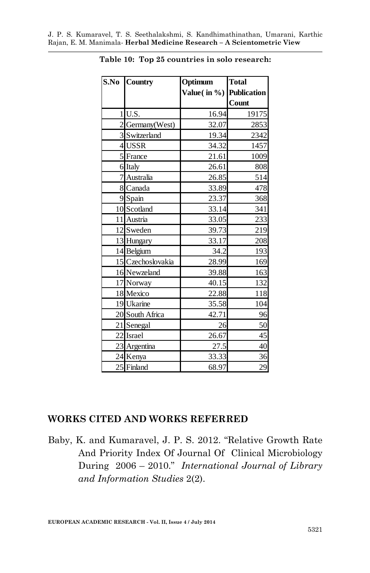| S.No Country      | Optimum                 | <b>Total</b> |
|-------------------|-------------------------|--------------|
|                   | Value(in %) Publication |              |
|                   |                         | Count        |
| $1$ U.S.          | 16.94                   | 19175        |
| 2 Germany(West)   | 32.07                   | 2853         |
| 3 Switzerland     | 19.34                   | 2342         |
| 4USSR             | 34.32                   | 1457         |
| 5 France          | 21.61                   | 1009         |
| 6 Italy           | 26.61                   | 808          |
| 7 Australia       | 26.85                   | 514          |
| 8 Canada          | 33.89                   | 478          |
| 9 Spain           | 23.37                   | 368          |
| 10 Scotland       | 33.14                   | 341          |
| 11 Austria        | 33.05                   | 233          |
| 12 Sweden         | 39.73                   | 219          |
| 13 Hungary        | 33.17                   | 208          |
| 14 Belgium        | 34.2                    | 193          |
| 15 Czechoslovakia | 28.99                   | 169          |
| 16 Newzeland      | 39.88                   | 163          |
| 17 Norway         | 40.15                   | 132          |
| 18 Mexico         | 22.88                   | 118          |
| 19 Ukarine        | 35.58                   | 104          |
| 20 South Africa   | 42.71                   | 96           |
| 21 Senegal        | 26                      | 50           |
| 22 Israel         | 26.67                   | 45           |
| 23 Argentina      | 27.5                    | 40           |
| 24 Kenya          | 33.33                   | 36           |
| 25 Finland        | 68.97                   | 29           |

**Table 10: Top 25 countries in solo research:**

#### **WORKS CITED AND WORKS REFERRED**

Baby, K. and Kumaravel, J. P. S. 2012. "Relative Growth Rate And Priority Index Of Journal Of Clinical Microbiology During 2006 – 2010." *International Journal of Library and Information Studies* 2(2).